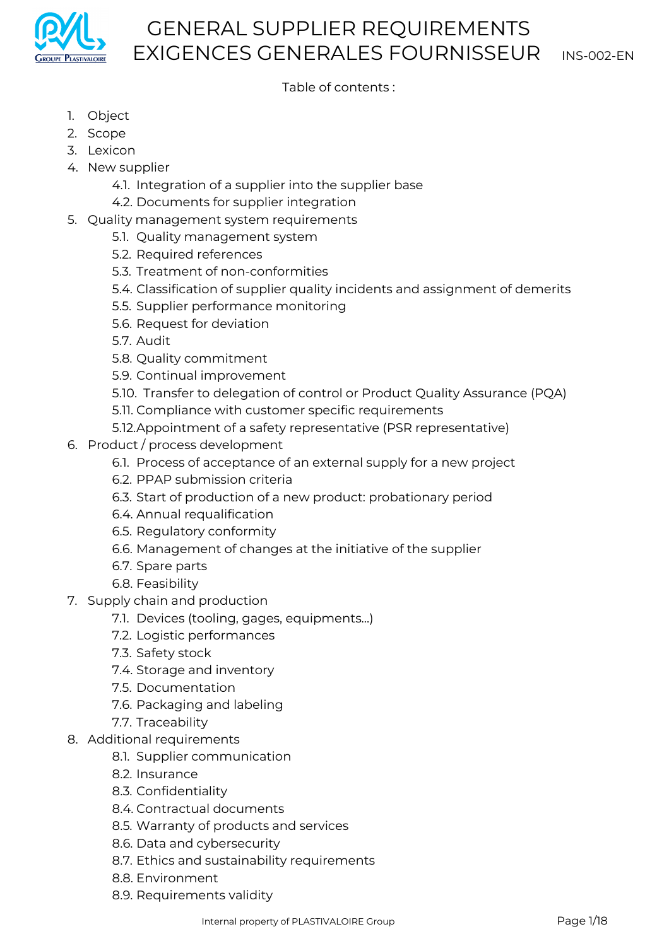

## Table of contents :

- 1. Object
- 2. Scope
- 3. Lexicon
- 4. New supplier
	- 4.1. Integration of a supplier into the supplier base
	- 4.2. Documents for supplier integration
- 5. Quality management system requirements
	- 5.1. Quality management system
	- 5.2. Required references
	- 5.3. Treatment of non-conformities
	- 5.4. Classification of supplier quality incidents and assignment of demerits
	- 5.5. Supplier performance monitoring
	- 5.6. Request for deviation
	- 5.7. Audit
	- 5.8. Quality commitment
	- 5.9. Continual improvement
	- 5.10. Transfer to delegation of control or Product Quality Assurance (PQA)
	- 5.11. Compliance with customer specific requirements
	- 5.12.Appointment of a safety representative (PSR representative)
- 6. Product / process development
	- 6.1. Process of acceptance of an external supply for a new project
	- 6.2. PPAP submission criteria
	- 6.3. Start of production of a new product: probationary period
	- 6.4. Annual requalification
	- 6.5. Regulatory conformity
	- 6.6. Management of changes at the initiative of the supplier
	- 6.7. Spare parts
	- 6.8. Feasibility
- 7. Supply chain and production
	- 7.1. Devices (tooling, gages, equipments...)
	- 7.2. Logistic performances
	- 7.3. Safety stock
	- 7.4. Storage and inventory
	- 7.5. Documentation
	- 7.6. Packaging and labeling
	- 7.7. Traceability
- 8. Additional requirements
	- 8.1. Supplier communication
	- 8.2. Insurance
	- 8.3. Confidentiality
	- 8.4. Contractual documents
	- 8.5. Warranty of products and services
	- 8.6. Data and cybersecurity
	- 8.7. Ethics and sustainability requirements
	- 8.8. Environment
	- 8.9. Requirements validity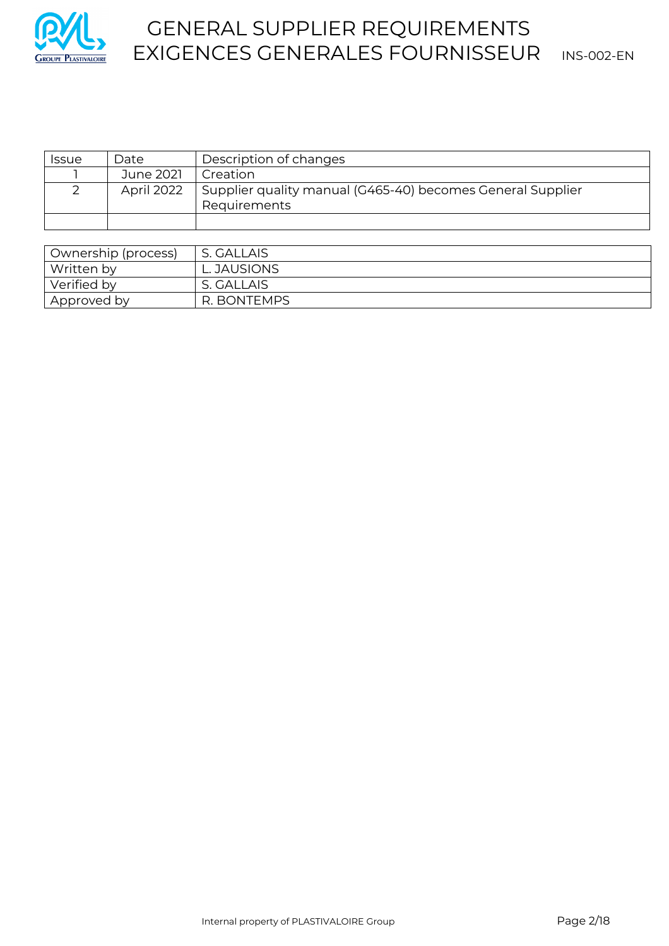

# GENERAL SUPPLIER REQUIREMENTS GROUPE PLASTIVALOIRE EXIGENCES GENERALES FOURNISSEUR INS-002-EN

| <i>Issue</i>        | Date       | Description of changes                                                     |
|---------------------|------------|----------------------------------------------------------------------------|
|                     | June 2021  | Creation                                                                   |
|                     | April 2022 | Supplier quality manual (G465-40) becomes General Supplier<br>Requirements |
|                     |            |                                                                            |
|                     |            |                                                                            |
| Ownership (process) |            | S. GALLAIS                                                                 |

| Ownership (process) | S. UALLAIS  |
|---------------------|-------------|
| Written by          | L. JAUSIONS |
| Verified by         | S. GALLAIS  |
| Approved by         | R. BONTEMPS |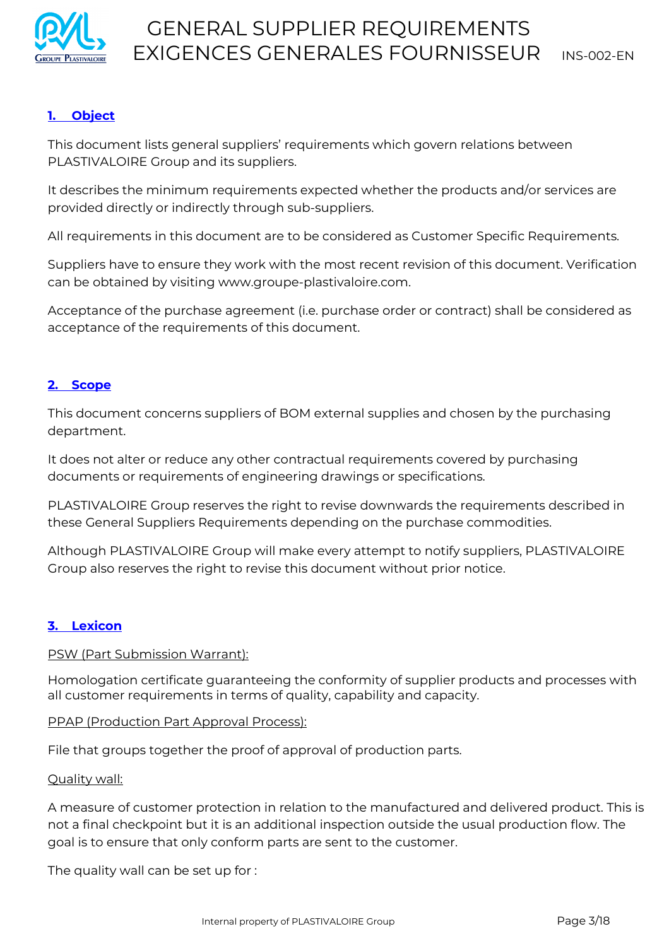

# **1. Object**

This document lists general suppliers' requirements which govern relations between PLASTIVALOIRE Group and its suppliers.

It describes the minimum requirements expected whether the products and/or services are provided directly or indirectly through sub-suppliers.

All requirements in this document are to be considered as Customer Specific Requirements.

Suppliers have to ensure they work with the most recent revision of this document. Verification can be obtained by visiting www.groupe-plastivaloire.com.

Acceptance of the purchase agreement (i.e. purchase order or contract) shall be considered as acceptance of the requirements of this document.

## **2. Scope**

This document concerns suppliers of BOM external supplies and chosen by the purchasing department.

It does not alter or reduce any other contractual requirements covered by purchasing documents or requirements of engineering drawings or specifications.

PLASTIVALOIRE Group reserves the right to revise downwards the requirements described in these General Suppliers Requirements depending on the purchase commodities.

Although PLASTIVALOIRE Group will make every attempt to notify suppliers, PLASTIVALOIRE Group also reserves the right to revise this document without prior notice.

### **3. Lexicon**

#### PSW (Part Submission Warrant):

Homologation certificate guaranteeing the conformity of supplier products and processes with all customer requirements in terms of quality, capability and capacity.

#### PPAP (Production Part Approval Process):

File that groups together the proof of approval of production parts.

#### Quality wall:

A measure of customer protection in relation to the manufactured and delivered product. This is not a final checkpoint but it is an additional inspection outside the usual production flow. The goal is to ensure that only conform parts are sent to the customer.

The quality wall can be set up for :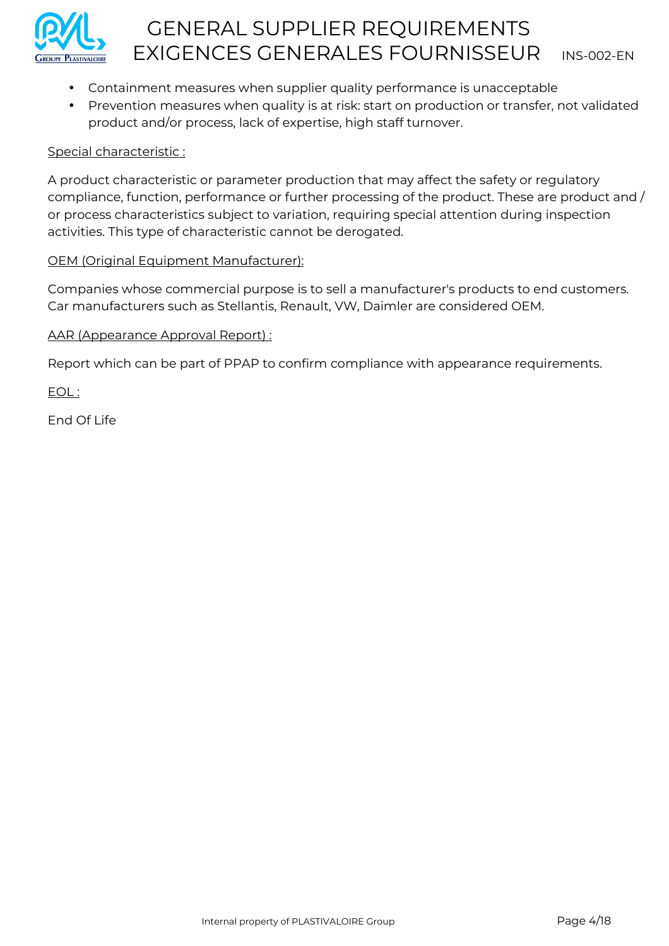

- Containment measures when supplier quality performance is unacceptable
- Prevention measures when quality is at risk: start on production or transfer, not validated product and/or process, lack of expertise, high staff turnover.

### Special characteristic :

A product characteristic or parameter production that may affect the safety or regulatory compliance, function, performance or further processing of the product. These are product and / or process characteristics subject to variation, requiring special attention during inspection activities. This type of characteristic cannot be derogated.

## OEM (Original Equipment Manufacturer):

Companies whose commercial purpose is to sell a manufacturer's products to end customers. Car manufacturers such as Stellantis, Renault, VW, Daimler are considered OEM.

## AAR (Appearance Approval Report) :

Report which can be part of PPAP to confirm compliance with appearance requirements.

EOL :

End Of Life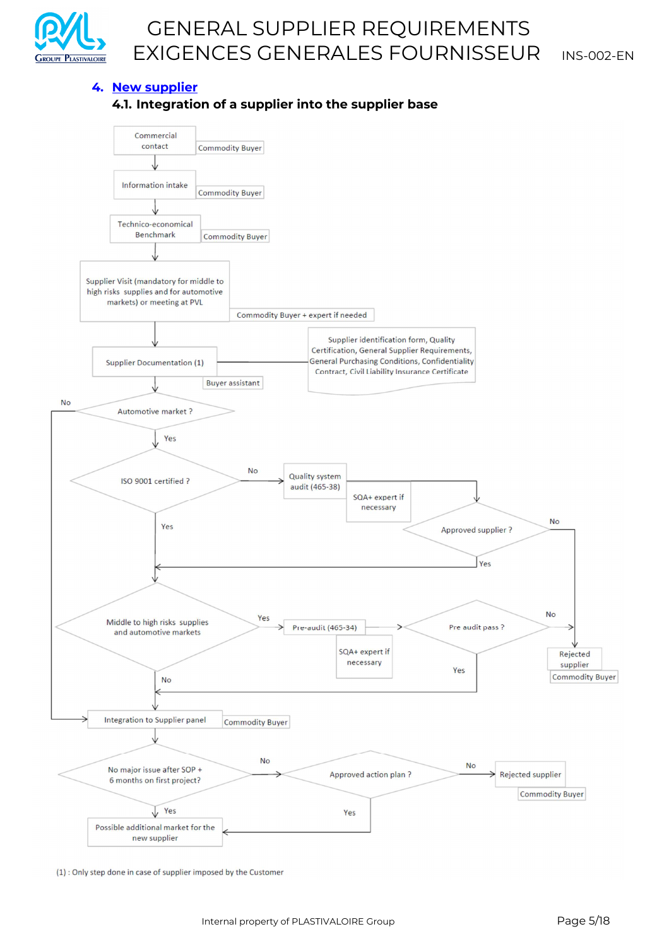

#### **4. New supplier**

#### **4.1. Integration of a supplier into the supplier base**



(1) : Only step done in case of supplier imposed by the Customer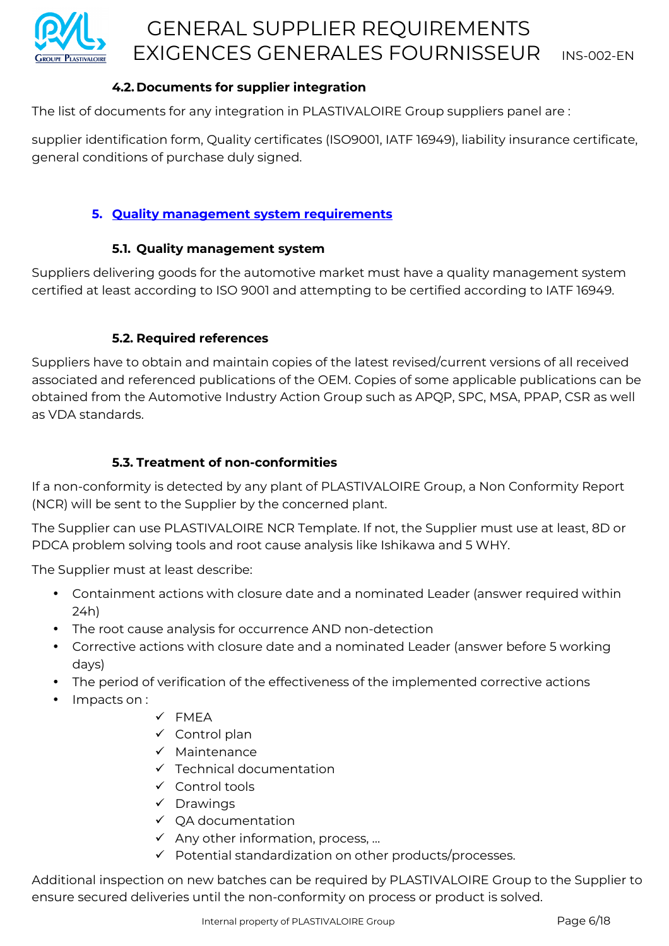

# **4.2. Documents for supplier integration**

The list of documents for any integration in PLASTIVALOIRE Group suppliers panel are :

supplier identification form, Quality certificates (ISO9001, IATF 16949), liability insurance certificate, general conditions of purchase duly signed.

## **5. Quality management system requirements**

### **5.1. Quality management system**

Suppliers delivering goods for the automotive market must have a quality management system certified at least according to ISO 9001 and attempting to be certified according to IATF 16949.

### **5.2. Required references**

Suppliers have to obtain and maintain copies of the latest revised/current versions of all received associated and referenced publications of the OEM. Copies of some applicable publications can be obtained from the Automotive Industry Action Group such as APQP, SPC, MSA, PPAP, CSR as well as VDA standards.

## **5.3. Treatment of non-conformities**

If a non-conformity is detected by any plant of PLASTIVALOIRE Group, a Non Conformity Report (NCR) will be sent to the Supplier by the concerned plant.

The Supplier can use PLASTIVALOIRE NCR Template. If not, the Supplier must use at least, 8D or PDCA problem solving tools and root cause analysis like Ishikawa and 5 WHY.

The Supplier must at least describe:

- Containment actions with closure date and a nominated Leader (answer required within 24h)
- The root cause analysis for occurrence AND non-detection
- Corrective actions with closure date and a nominated Leader (answer before 5 working days)
- The period of verification of the effectiveness of the implemented corrective actions
- Impacts on :
- FMEA
- $\checkmark$  Control plan
- $\checkmark$  Maintenance
- $\checkmark$  Technical documentation
- $\checkmark$  Control tools
- $\checkmark$  Drawings
- $\checkmark$  OA documentation
- $\checkmark$  Any other information, process, ...
- $\checkmark$  Potential standardization on other products/processes.

Additional inspection on new batches can be required by PLASTIVALOIRE Group to the Supplier to ensure secured deliveries until the non-conformity on process or product is solved.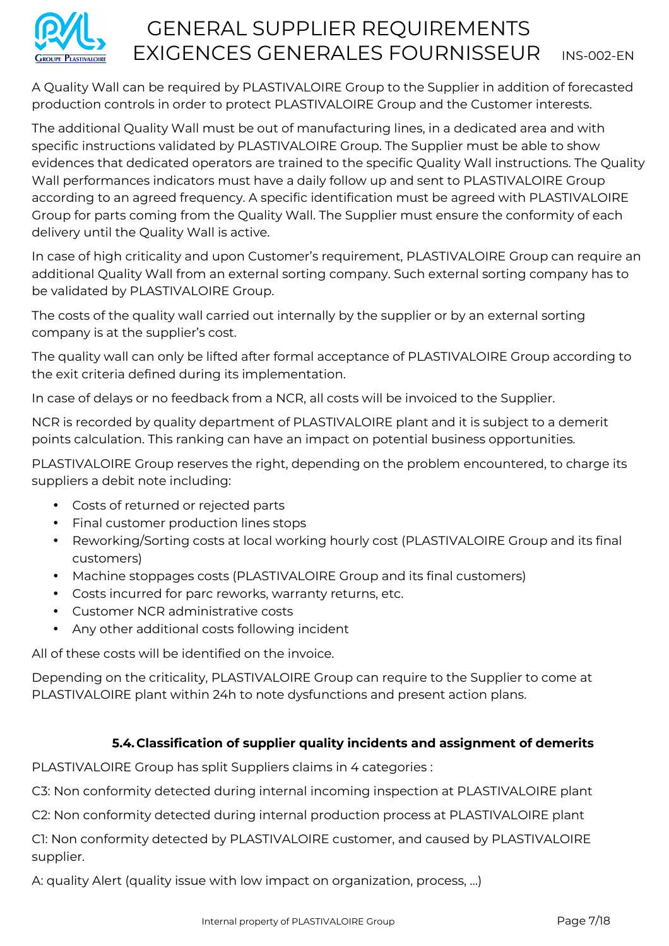

A Quality Wall can be required by PLASTIVALOIRE Group to the Supplier in addition of forecasted production controls in order to protect PLASTIVALOIRE Group and the Customer interests.

The additional Quality Wall must be out of manufacturing lines, in a dedicated area and with specific instructions validated by PLASTIVALOIRE Group. The Supplier must be able to show evidences that dedicated operators are trained to the specific Quality Wall instructions. The Quality Wall performances indicators must have a daily follow up and sent to PLASTIVALOIRE Group according to an agreed frequency. A specific identification must be agreed with PLASTIVALOIRE Group for parts coming from the Quality Wall. The Supplier must ensure the conformity of each delivery until the Quality Wall is active.

In case of high criticality and upon Customer's requirement, PLASTIVALOIRE Group can require an additional Quality Wall from an external sorting company. Such external sorting company has to be validated by PLASTIVALOIRE Group.

The costs of the quality wall carried out internally by the supplier or by an external sorting company is at the supplier's cost.

The quality wall can only be lifted after formal acceptance of PLASTIVALOIRE Group according to the exit criteria defined during its implementation.

In case of delays or no feedback from a NCR, all costs will be invoiced to the Supplier.

NCR is recorded by quality department of PLASTIVALOIRE plant and it is subject to a demerit points calculation. This ranking can have an impact on potential business opportunities.

PLASTIVALOIRE Group reserves the right, depending on the problem encountered, to charge its suppliers a debit note including:

- Costs of returned or rejected parts
- Final customer production lines stops
- Reworking/Sorting costs at local working hourly cost (PLASTIVALOIRE Group and its final customers)
- Machine stoppages costs (PLASTIVALOIRE Group and its final customers)
- Costs incurred for parc reworks, warranty returns, etc.
- Customer NCR administrative costs
- Any other additional costs following incident

All of these costs will be identified on the invoice.

Depending on the criticality, PLASTIVALOIRE Group can require to the Supplier to come at PLASTIVALOIRE plant within 24h to note dysfunctions and present action plans.

# **5.4. Classification of supplier quality incidents and assignment of demerits**

PLASTIVALOIRE Group has split Suppliers claims in 4 categories :

C3: Non conformity detected during internal incoming inspection at PLASTIVALOIRE plant

C2: Non conformity detected during internal production process at PLASTIVALOIRE plant

C1: Non conformity detected by PLASTIVALOIRE customer, and caused by PLASTIVALOIRE supplier.

A: quality Alert (quality issue with low impact on organization, process, …)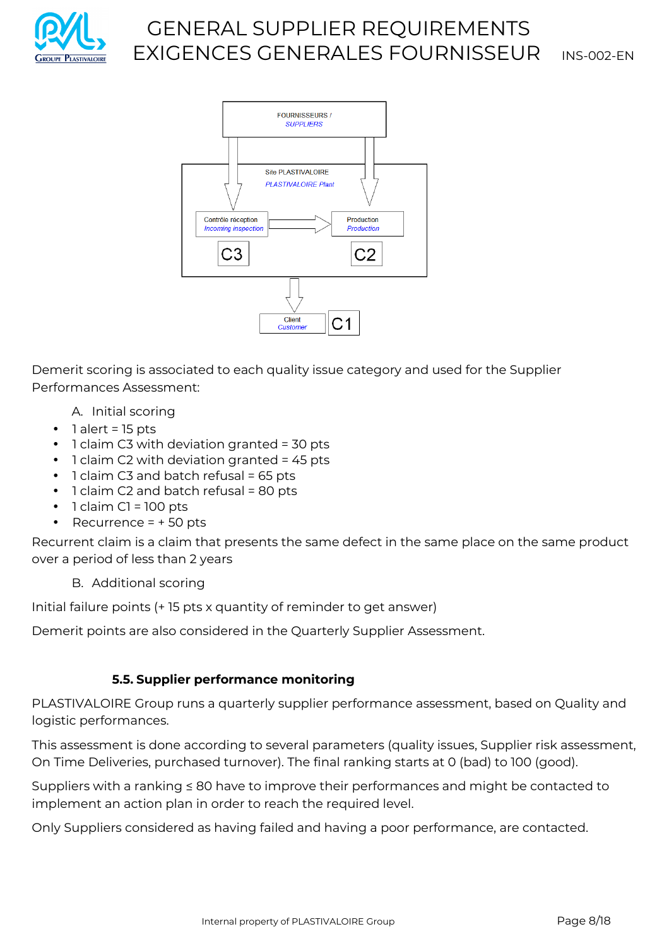



Demerit scoring is associated to each quality issue category and used for the Supplier Performances Assessment:

- A. Initial scoring
- 1 alert = 15 pts
- 1 claim C3 with deviation granted = 30 pts
- 1 claim C2 with deviation granted = 45 pts
- 1 claim C3 and batch refusal = 65 pts
- 1 claim C2 and batch refusal = 80 pts
- $\bullet$  1 claim C1 = 100 pts
- Recurrence  $= +50$  pts

Recurrent claim is a claim that presents the same defect in the same place on the same product over a period of less than 2 years

B. Additional scoring

Initial failure points (+ 15 pts x quantity of reminder to get answer)

Demerit points are also considered in the Quarterly Supplier Assessment.

# **5.5. Supplier performance monitoring**

PLASTIVALOIRE Group runs a quarterly supplier performance assessment, based on Quality and logistic performances.

This assessment is done according to several parameters (quality issues, Supplier risk assessment, On Time Deliveries, purchased turnover). The final ranking starts at 0 (bad) to 100 (good).

Suppliers with a ranking ≤ 80 have to improve their performances and might be contacted to implement an action plan in order to reach the required level.

Only Suppliers considered as having failed and having a poor performance, are contacted.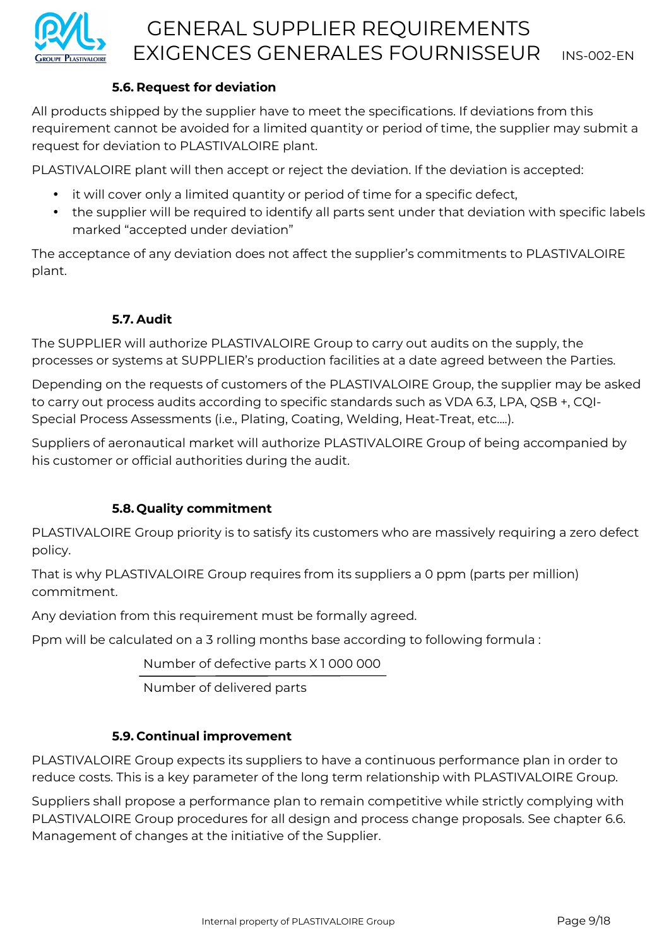

## **5.6. Request for deviation**

All products shipped by the supplier have to meet the specifications. If deviations from this requirement cannot be avoided for a limited quantity or period of time, the supplier may submit a request for deviation to PLASTIVALOIRE plant.

PLASTIVALOIRE plant will then accept or reject the deviation. If the deviation is accepted:

- it will cover only a limited quantity or period of time for a specific defect,
- the supplier will be required to identify all parts sent under that deviation with specific labels marked "accepted under deviation"

The acceptance of any deviation does not affect the supplier's commitments to PLASTIVALOIRE plant.

# **5.7. Audit**

The SUPPLIER will authorize PLASTIVALOIRE Group to carry out audits on the supply, the processes or systems at SUPPLIER's production facilities at a date agreed between the Parties.

Depending on the requests of customers of the PLASTIVALOIRE Group, the supplier may be asked to carry out process audits according to specific standards such as VDA 6.3, LPA, QSB +, CQI-Special Process Assessments (i.e., Plating, Coating, Welding, Heat-Treat, etc....).

Suppliers of aeronautical market will authorize PLASTIVALOIRE Group of being accompanied by his customer or official authorities during the audit.

# **5.8. Quality commitment**

PLASTIVALOIRE Group priority is to satisfy its customers who are massively requiring a zero defect policy.

That is why PLASTIVALOIRE Group requires from its suppliers a 0 ppm (parts per million) commitment.

Any deviation from this requirement must be formally agreed.

Ppm will be calculated on a 3 rolling months base according to following formula :

Number of defective parts X 1 000 000

Number of delivered parts

# **5.9. Continual improvement**

PLASTIVALOIRE Group expects its suppliers to have a continuous performance plan in order to reduce costs. This is a key parameter of the long term relationship with PLASTIVALOIRE Group.

Suppliers shall propose a performance plan to remain competitive while strictly complying with PLASTIVALOIRE Group procedures for all design and process change proposals. See chapter 6.6. Management of changes at the initiative of the Supplier.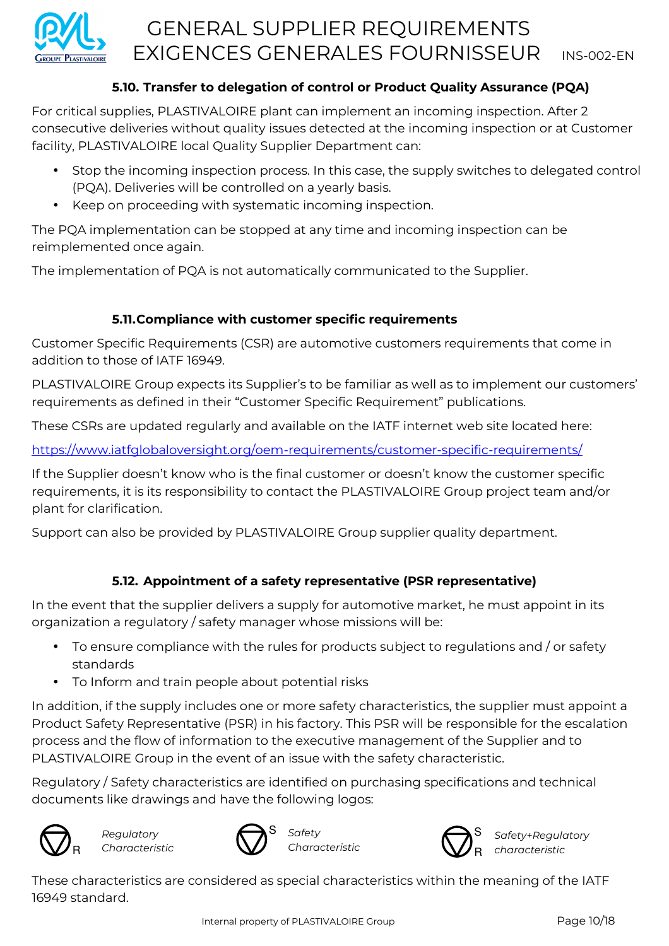

# **5.10. Transfer to delegation of control or Product Quality Assurance (PQA)**

For critical supplies, PLASTIVALOIRE plant can implement an incoming inspection. After 2 consecutive deliveries without quality issues detected at the incoming inspection or at Customer facility, PLASTIVALOIRE local Quality Supplier Department can:

- Stop the incoming inspection process. In this case, the supply switches to delegated control (PQA). Deliveries will be controlled on a yearly basis.
- Keep on proceeding with systematic incoming inspection.

The PQA implementation can be stopped at any time and incoming inspection can be reimplemented once again.

The implementation of PQA is not automatically communicated to the Supplier.

# **5.11.Compliance with customer specific requirements**

Customer Specific Requirements (CSR) are automotive customers requirements that come in addition to those of IATF 16949.

PLASTIVALOIRE Group expects its Supplier's to be familiar as well as to implement our customers' requirements as defined in their "Customer Specific Requirement" publications.

These CSRs are updated regularly and available on the IATF internet web site located here:

https://www.iatfglobaloversight.org/oem-requirements/customer-specific-requirements/

If the Supplier doesn't know who is the final customer or doesn't know the customer specific requirements, it is its responsibility to contact the PLASTIVALOIRE Group project team and/or plant for clarification.

Support can also be provided by PLASTIVALOIRE Group supplier quality department.

# **5.12. Appointment of a safety representative (PSR representative)**

In the event that the supplier delivers a supply for automotive market, he must appoint in its organization a regulatory / safety manager whose missions will be:

- To ensure compliance with the rules for products subject to regulations and / or safety standards
- To Inform and train people about potential risks

In addition, if the supply includes one or more safety characteristics, the supplier must appoint a Product Safety Representative (PSR) in his factory. This PSR will be responsible for the escalation process and the flow of information to the executive management of the Supplier and to PLASTIVALOIRE Group in the event of an issue with the safety characteristic.

Regulatory / Safety characteristics are identified on purchasing specifications and technical documents like drawings and have the following logos:



*Regulatory Characteristic* 





*Safety+Regulatory characteristic*

These characteristics are considered as special characteristics within the meaning of the IATF 16949 standard.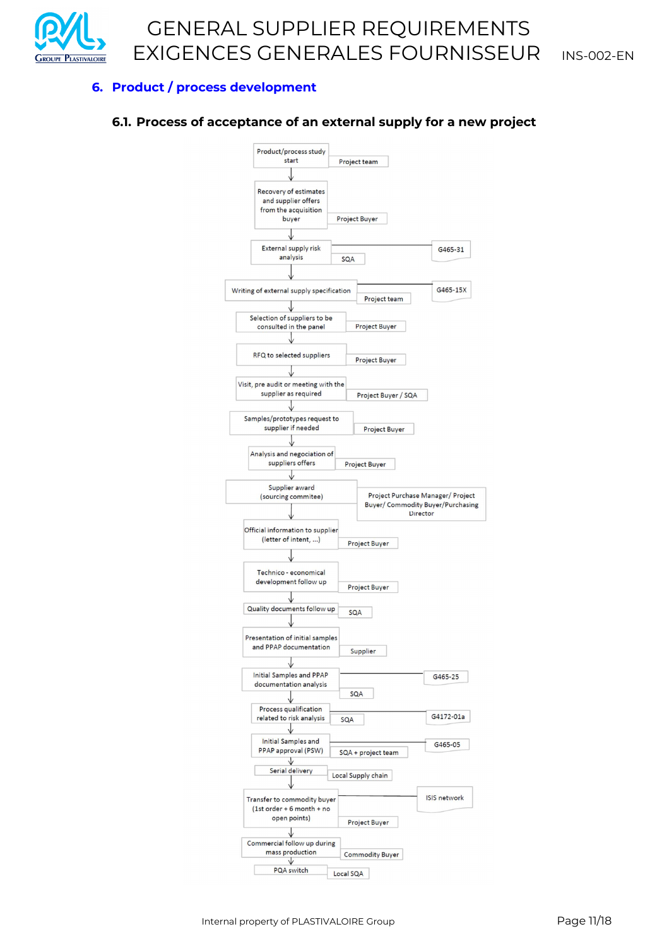

### **6. Product / process development**

#### **6.1. Process of acceptance of an external supply for a new project**

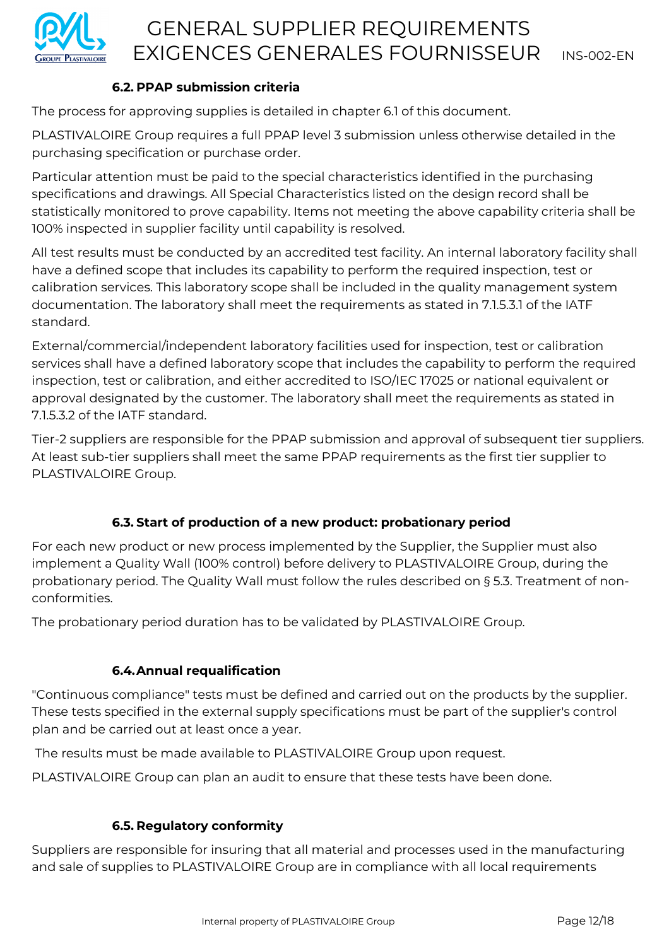

# **6.2. PPAP submission criteria**

The process for approving supplies is detailed in chapter 6.1 of this document.

PLASTIVALOIRE Group requires a full PPAP level 3 submission unless otherwise detailed in the purchasing specification or purchase order.

Particular attention must be paid to the special characteristics identified in the purchasing specifications and drawings. All Special Characteristics listed on the design record shall be statistically monitored to prove capability. Items not meeting the above capability criteria shall be 100% inspected in supplier facility until capability is resolved.

All test results must be conducted by an accredited test facility. An internal laboratory facility shall have a defined scope that includes its capability to perform the required inspection, test or calibration services. This laboratory scope shall be included in the quality management system documentation. The laboratory shall meet the requirements as stated in 7.1.5.3.1 of the IATF standard.

External/commercial/independent laboratory facilities used for inspection, test or calibration services shall have a defined laboratory scope that includes the capability to perform the required inspection, test or calibration, and either accredited to ISO/IEC 17025 or national equivalent or approval designated by the customer. The laboratory shall meet the requirements as stated in 7.1.5.3.2 of the IATF standard.

Tier-2 suppliers are responsible for the PPAP submission and approval of subsequent tier suppliers. At least sub-tier suppliers shall meet the same PPAP requirements as the first tier supplier to PLASTIVALOIRE Group.

# **6.3. Start of production of a new product: probationary period**

For each new product or new process implemented by the Supplier, the Supplier must also implement a Quality Wall (100% control) before delivery to PLASTIVALOIRE Group, during the probationary period. The Quality Wall must follow the rules described on § 5.3. Treatment of nonconformities.

The probationary period duration has to be validated by PLASTIVALOIRE Group.

# **6.4.Annual requalification**

"Continuous compliance" tests must be defined and carried out on the products by the supplier. These tests specified in the external supply specifications must be part of the supplier's control plan and be carried out at least once a year.

The results must be made available to PLASTIVALOIRE Group upon request.

PLASTIVALOIRE Group can plan an audit to ensure that these tests have been done.

# **6.5. Regulatory conformity**

Suppliers are responsible for insuring that all material and processes used in the manufacturing and sale of supplies to PLASTIVALOIRE Group are in compliance with all local requirements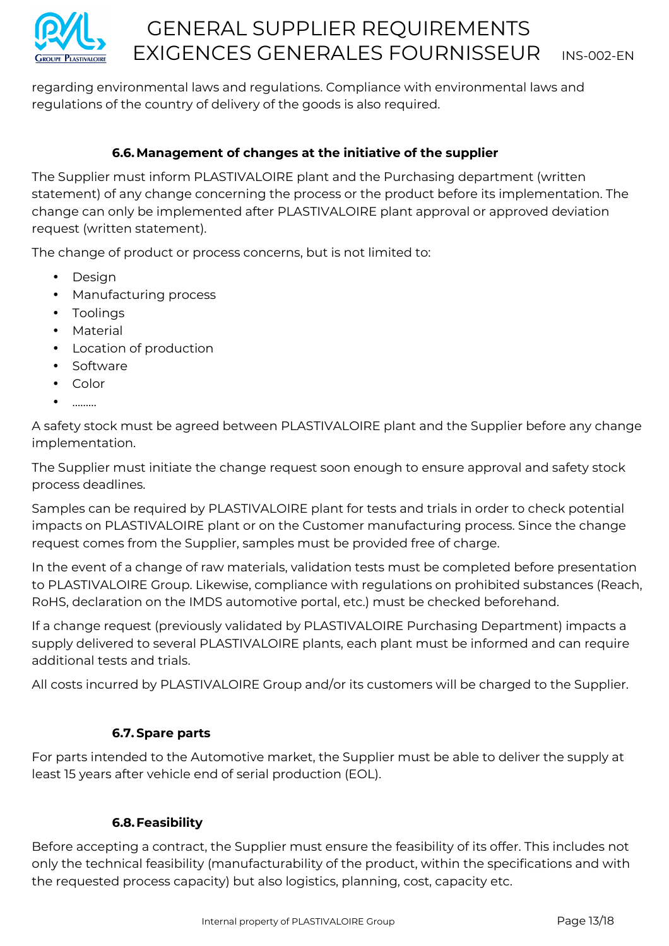

regarding environmental laws and regulations. Compliance with environmental laws and regulations of the country of delivery of the goods is also required.

# **6.6.Management of changes at the initiative of the supplier**

The Supplier must inform PLASTIVALOIRE plant and the Purchasing department (written statement) of any change concerning the process or the product before its implementation. The change can only be implemented after PLASTIVALOIRE plant approval or approved deviation request (written statement).

The change of product or process concerns, but is not limited to:

- Design
- Manufacturing process
- Toolings
- Material
- Location of production
- Software
- Color
- ………

A safety stock must be agreed between PLASTIVALOIRE plant and the Supplier before any change implementation.

The Supplier must initiate the change request soon enough to ensure approval and safety stock process deadlines.

Samples can be required by PLASTIVALOIRE plant for tests and trials in order to check potential impacts on PLASTIVALOIRE plant or on the Customer manufacturing process. Since the change request comes from the Supplier, samples must be provided free of charge.

In the event of a change of raw materials, validation tests must be completed before presentation to PLASTIVALOIRE Group. Likewise, compliance with regulations on prohibited substances (Reach, RoHS, declaration on the IMDS automotive portal, etc.) must be checked beforehand.

If a change request (previously validated by PLASTIVALOIRE Purchasing Department) impacts a supply delivered to several PLASTIVALOIRE plants, each plant must be informed and can require additional tests and trials.

All costs incurred by PLASTIVALOIRE Group and/or its customers will be charged to the Supplier.

# **6.7. Spare parts**

For parts intended to the Automotive market, the Supplier must be able to deliver the supply at least 15 years after vehicle end of serial production (EOL).

# **6.8.Feasibility**

Before accepting a contract, the Supplier must ensure the feasibility of its offer. This includes not only the technical feasibility (manufacturability of the product, within the specifications and with the requested process capacity) but also logistics, planning, cost, capacity etc.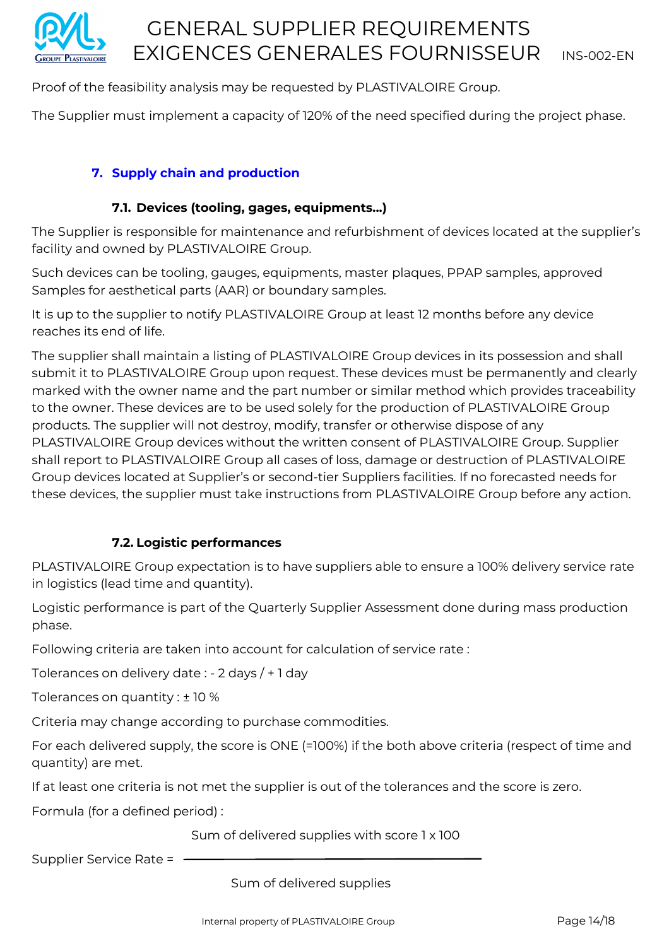

Proof of the feasibility analysis may be requested by PLASTIVALOIRE Group.

The Supplier must implement a capacity of 120% of the need specified during the project phase.

### **7. Supply chain and production**

### **7.1. Devices (tooling, gages, equipments...)**

The Supplier is responsible for maintenance and refurbishment of devices located at the supplier's facility and owned by PLASTIVALOIRE Group.

Such devices can be tooling, gauges, equipments, master plaques, PPAP samples, approved Samples for aesthetical parts (AAR) or boundary samples.

It is up to the supplier to notify PLASTIVALOIRE Group at least 12 months before any device reaches its end of life.

The supplier shall maintain a listing of PLASTIVALOIRE Group devices in its possession and shall submit it to PLASTIVALOIRE Group upon request. These devices must be permanently and clearly marked with the owner name and the part number or similar method which provides traceability to the owner. These devices are to be used solely for the production of PLASTIVALOIRE Group products. The supplier will not destroy, modify, transfer or otherwise dispose of any PLASTIVALOIRE Group devices without the written consent of PLASTIVALOIRE Group. Supplier shall report to PLASTIVALOIRE Group all cases of loss, damage or destruction of PLASTIVALOIRE Group devices located at Supplier's or second-tier Suppliers facilities. If no forecasted needs for these devices, the supplier must take instructions from PLASTIVALOIRE Group before any action.

### **7.2. Logistic performances**

PLASTIVALOIRE Group expectation is to have suppliers able to ensure a 100% delivery service rate in logistics (lead time and quantity).

Logistic performance is part of the Quarterly Supplier Assessment done during mass production phase.

Following criteria are taken into account for calculation of service rate :

Tolerances on delivery date : - 2 days / + 1 day

Tolerances on quantity : ± 10 %

Criteria may change according to purchase commodities.

For each delivered supply, the score is ONE (=100%) if the both above criteria (respect of time and quantity) are met.

If at least one criteria is not met the supplier is out of the tolerances and the score is zero.

Formula (for a defined period) :

Sum of delivered supplies with score 1 x 100

Supplier Service Rate =

Sum of delivered supplies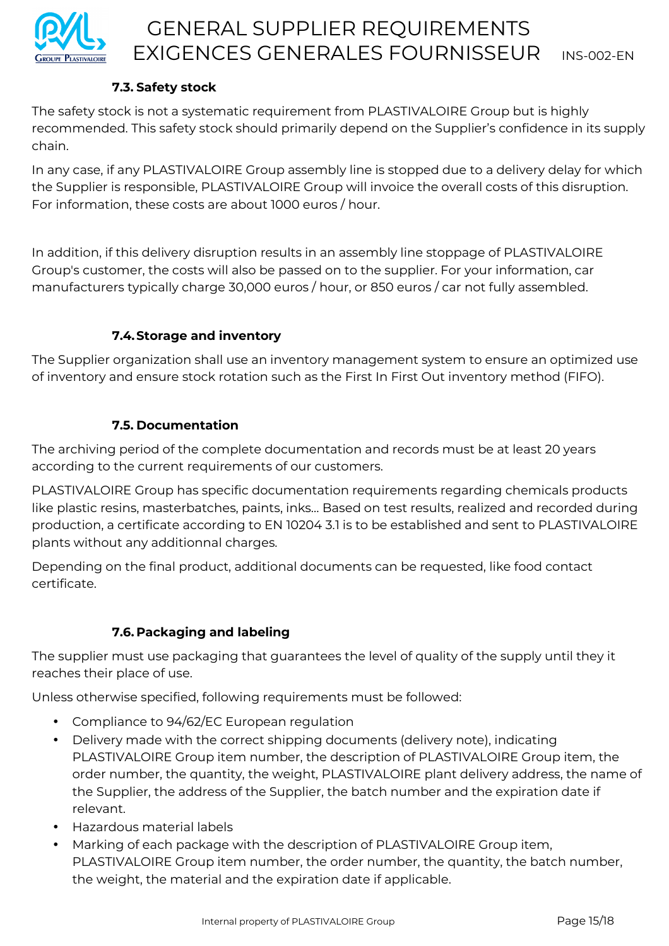

# **7.3. Safety stock**

The safety stock is not a systematic requirement from PLASTIVALOIRE Group but is highly recommended. This safety stock should primarily depend on the Supplier's confidence in its supply chain.

In any case, if any PLASTIVALOIRE Group assembly line is stopped due to a delivery delay for which the Supplier is responsible, PLASTIVALOIRE Group will invoice the overall costs of this disruption. For information, these costs are about 1000 euros / hour.

In addition, if this delivery disruption results in an assembly line stoppage of PLASTIVALOIRE Group's customer, the costs will also be passed on to the supplier. For your information, car manufacturers typically charge 30,000 euros / hour, or 850 euros / car not fully assembled.

# **7.4.Storage and inventory**

The Supplier organization shall use an inventory management system to ensure an optimized use of inventory and ensure stock rotation such as the First In First Out inventory method (FIFO).

# **7.5. Documentation**

The archiving period of the complete documentation and records must be at least 20 years according to the current requirements of our customers.

PLASTIVALOIRE Group has specific documentation requirements regarding chemicals products like plastic resins, masterbatches, paints, inks… Based on test results, realized and recorded during production, a certificate according to EN 10204 3.1 is to be established and sent to PLASTIVALOIRE plants without any additionnal charges.

Depending on the final product, additional documents can be requested, like food contact certificate.

# **7.6. Packaging and labeling**

The supplier must use packaging that guarantees the level of quality of the supply until they it reaches their place of use.

Unless otherwise specified, following requirements must be followed:

- Compliance to 94/62/EC European regulation
- Delivery made with the correct shipping documents (delivery note), indicating PLASTIVALOIRE Group item number, the description of PLASTIVALOIRE Group item, the order number, the quantity, the weight, PLASTIVALOIRE plant delivery address, the name of the Supplier, the address of the Supplier, the batch number and the expiration date if relevant.
- Hazardous material labels
- Marking of each package with the description of PLASTIVALOIRE Group item, PLASTIVALOIRE Group item number, the order number, the quantity, the batch number, the weight, the material and the expiration date if applicable.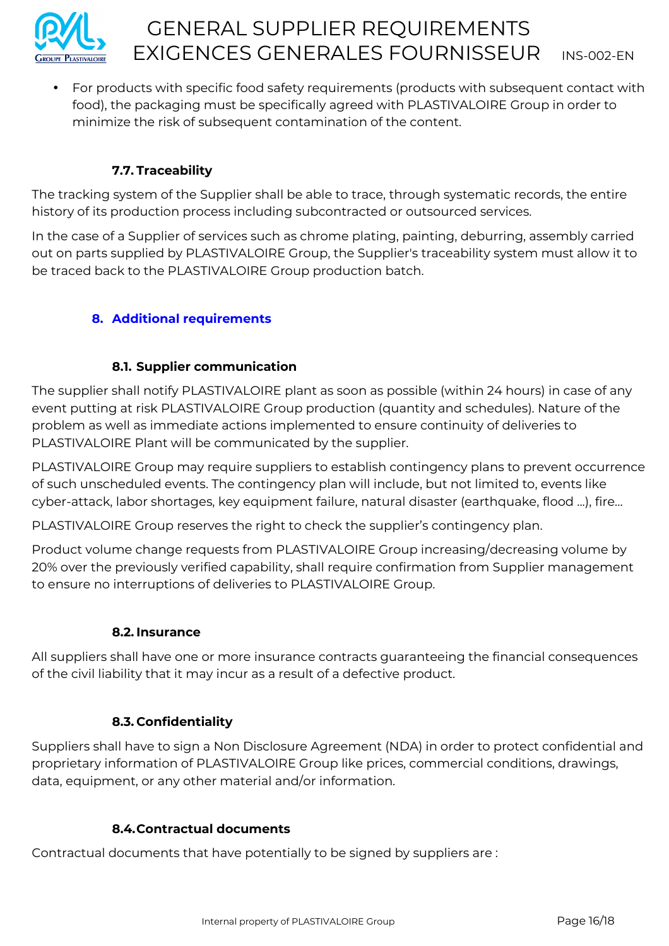

• For products with specific food safety requirements (products with subsequent contact with food), the packaging must be specifically agreed with PLASTIVALOIRE Group in order to minimize the risk of subsequent contamination of the content.

# **7.7. Traceability**

The tracking system of the Supplier shall be able to trace, through systematic records, the entire history of its production process including subcontracted or outsourced services.

In the case of a Supplier of services such as chrome plating, painting, deburring, assembly carried out on parts supplied by PLASTIVALOIRE Group, the Supplier's traceability system must allow it to be traced back to the PLASTIVALOIRE Group production batch.

# **8. Additional requirements**

## **8.1. Supplier communication**

The supplier shall notify PLASTIVALOIRE plant as soon as possible (within 24 hours) in case of any event putting at risk PLASTIVALOIRE Group production (quantity and schedules). Nature of the problem as well as immediate actions implemented to ensure continuity of deliveries to PLASTIVALOIRE Plant will be communicated by the supplier.

PLASTIVALOIRE Group may require suppliers to establish contingency plans to prevent occurrence of such unscheduled events. The contingency plan will include, but not limited to, events like cyber-attack, labor shortages, key equipment failure, natural disaster (earthquake, flood ...), fire…

PLASTIVALOIRE Group reserves the right to check the supplier's contingency plan.

Product volume change requests from PLASTIVALOIRE Group increasing/decreasing volume by 20% over the previously verified capability, shall require confirmation from Supplier management to ensure no interruptions of deliveries to PLASTIVALOIRE Group.

### **8.2. Insurance**

All suppliers shall have one or more insurance contracts guaranteeing the financial consequences of the civil liability that it may incur as a result of a defective product.

# **8.3. Confidentiality**

Suppliers shall have to sign a Non Disclosure Agreement (NDA) in order to protect confidential and proprietary information of PLASTIVALOIRE Group like prices, commercial conditions, drawings, data, equipment, or any other material and/or information.

### **8.4.Contractual documents**

Contractual documents that have potentially to be signed by suppliers are :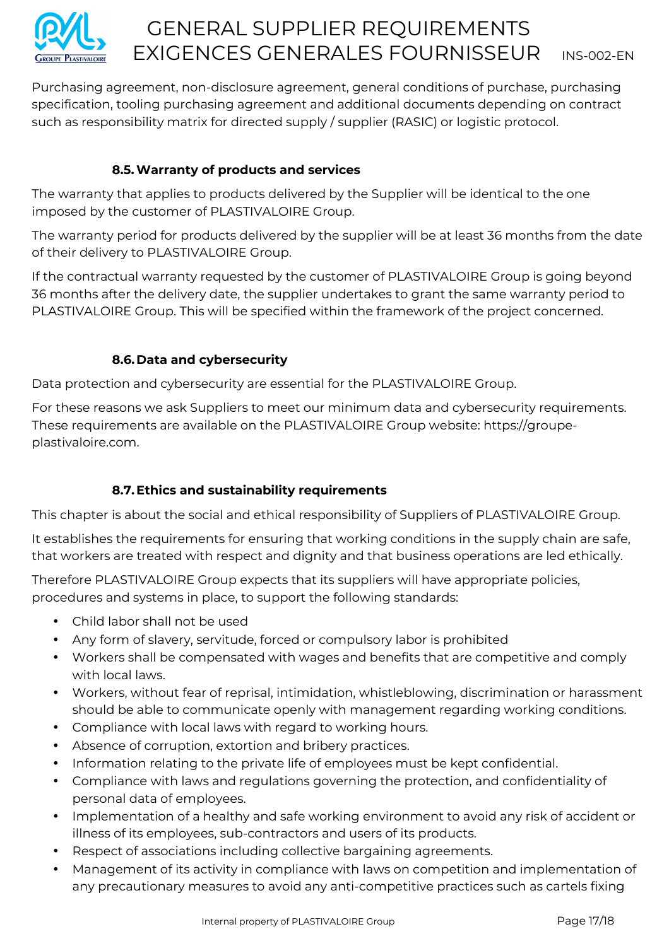

Purchasing agreement, non-disclosure agreement, general conditions of purchase, purchasing specification, tooling purchasing agreement and additional documents depending on contract such as responsibility matrix for directed supply / supplier (RASIC) or logistic protocol.

# **8.5.Warranty of products and services**

The warranty that applies to products delivered by the Supplier will be identical to the one imposed by the customer of PLASTIVALOIRE Group.

The warranty period for products delivered by the supplier will be at least 36 months from the date of their delivery to PLASTIVALOIRE Group.

If the contractual warranty requested by the customer of PLASTIVALOIRE Group is going beyond 36 months after the delivery date, the supplier undertakes to grant the same warranty period to PLASTIVALOIRE Group. This will be specified within the framework of the project concerned.

## **8.6.Data and cybersecurity**

Data protection and cybersecurity are essential for the PLASTIVALOIRE Group.

For these reasons we ask Suppliers to meet our minimum data and cybersecurity requirements. These requirements are available on the PLASTIVALOIRE Group website: https://groupeplastivaloire.com.

# **8.7.Ethics and sustainability requirements**

This chapter is about the social and ethical responsibility of Suppliers of PLASTIVALOIRE Group.

It establishes the requirements for ensuring that working conditions in the supply chain are safe, that workers are treated with respect and dignity and that business operations are led ethically.

Therefore PLASTIVALOIRE Group expects that its suppliers will have appropriate policies, procedures and systems in place, to support the following standards:

- Child labor shall not be used
- Any form of slavery, servitude, forced or compulsory labor is prohibited
- Workers shall be compensated with wages and benefits that are competitive and comply with local laws.
- Workers, without fear of reprisal, intimidation, whistleblowing, discrimination or harassment should be able to communicate openly with management regarding working conditions.
- Compliance with local laws with regard to working hours.
- Absence of corruption, extortion and bribery practices.
- Information relating to the private life of employees must be kept confidential.
- Compliance with laws and regulations governing the protection, and confidentiality of personal data of employees.
- Implementation of a healthy and safe working environment to avoid any risk of accident or illness of its employees, sub-contractors and users of its products.
- Respect of associations including collective bargaining agreements.
- Management of its activity in compliance with laws on competition and implementation of any precautionary measures to avoid any anti-competitive practices such as cartels fixing